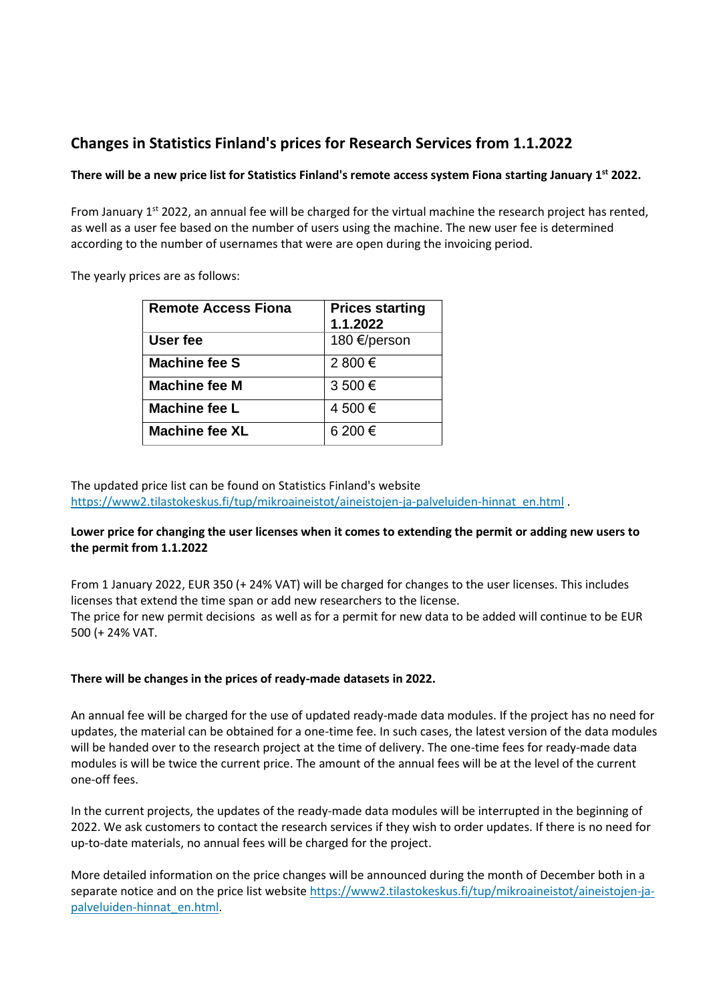# **Changes in Statistics Finland's prices for Research Services from 1.1.2022**

## **There will be a new price list for Statistics Finland's remote access system Fiona starting January 1 st 2022.**

From January 1<sup>st</sup> 2022, an annual fee will be charged for the virtual machine the research project has rented, as well as a user fee based on the number of users using the machine. The new user fee is determined according to the number of usernames that were are open during the invoicing period.

The yearly prices are as follows:

| <b>Remote Access Fiona</b> | <b>Prices starting</b><br>1.1.2022 |
|----------------------------|------------------------------------|
| User fee                   | 180 €/person                       |
| <b>Machine fee S</b>       | 2 800 €                            |
| <b>Machine fee M</b>       | 3 500 €                            |
| <b>Machine fee L</b>       | 4 500 €                            |
| <b>Machine fee XL</b>      | 6 200 €                            |

The updated price list can be found on Statistics Finland's website [https://www2.tilastokeskus.fi/tup/mikroaineistot/aineistojen-ja-palveluiden-hinnat\\_en.html](https://www2.tilastokeskus.fi/tup/mikroaineistot/aineistojen-ja-palveluiden-hinnat_en.html) .

#### **Lower price for changing the user licenses when it comes to extending the permit or adding new users to the permit from 1.1.2022**

From 1 January 2022, EUR 350 (+ 24% VAT) will be charged for changes to the user licenses. This includes licenses that extend the time span or add new researchers to the license. The price for new permit decisions as well as for a permit for new data to be added will continue to be EUR 500 (+ 24% VAT.

### **There will be changes in the prices of ready-made datasets in 2022.**

An annual fee will be charged for the use of updated ready-made data modules. If the project has no need for updates, the material can be obtained for a one-time fee. In such cases, the latest version of the data modules will be handed over to the research project at the time of delivery. The one-time fees for ready-made data modules is will be twice the current price. The amount of the annual fees will be at the level of the current one-off fees.

In the current projects, the updates of the ready-made data modules will be interrupted in the beginning of 2022. We ask customers to contact the research services if they wish to order updates. If there is no need for up-to-date materials, no annual fees will be charged for the project.

More detailed information on the price changes will be announced during the month of December both in a separate notice and on the price list website [https://www2.tilastokeskus.fi/tup/mikroaineistot/aineistojen-ja](https://www2.tilastokeskus.fi/tup/mikroaineistot/aineistojen-ja-palveluiden-hinnat_en.html)[palveluiden-hinnat\\_en.html.](https://www2.tilastokeskus.fi/tup/mikroaineistot/aineistojen-ja-palveluiden-hinnat_en.html)